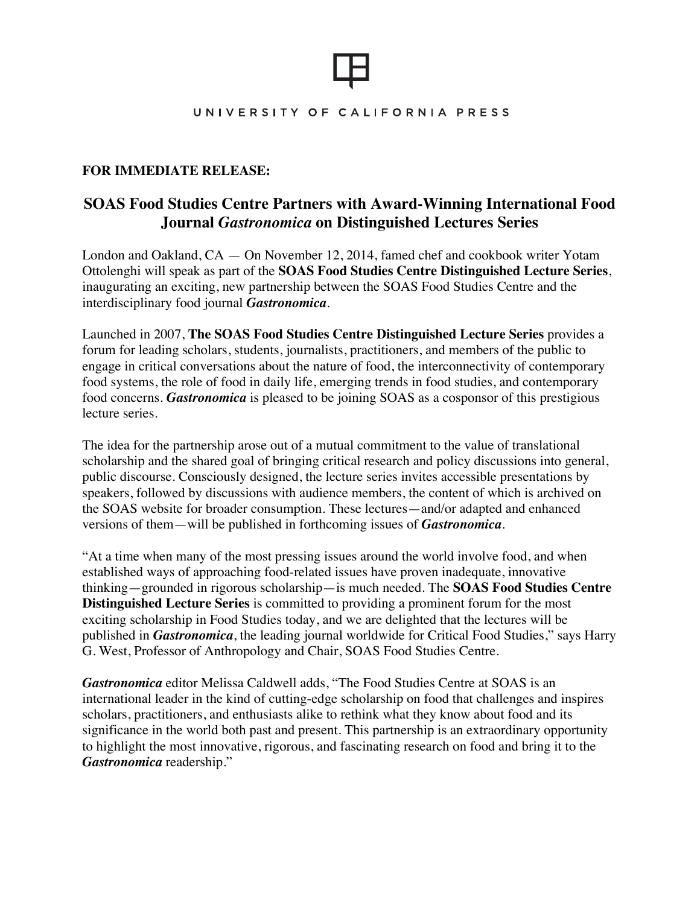### UNIVERSITY OF CALIFORNIA PRESS

# **FOR IMMEDIATE RELEASE:**

# **SOAS Food Studies Centre Partners with Award-Winning International Food Journal** *Gastronomica* **on Distinguished Lectures Series**

London and Oakland, CA — On November 12, 2014, famed chef and cookbook writer Yotam Ottolenghi will speak as part of the **SOAS Food Studies Centre Distinguished Lecture Series**, inaugurating an exciting, new partnership between the SOAS Food Studies Centre and the interdisciplinary food journal *Gastronomica.* 

Launched in 2007, **The SOAS Food Studies Centre Distinguished Lecture Series** provides a forum for leading scholars, students, journalists, practitioners, and members of the public to engage in critical conversations about the nature of food, the interconnectivity of contemporary food systems, the role of food in daily life, emerging trends in food studies, and contemporary food concerns. *Gastronomica* is pleased to be joining SOAS as a cosponsor of this prestigious lecture series.

The idea for the partnership arose out of a mutual commitment to the value of translational scholarship and the shared goal of bringing critical research and policy discussions into general, public discourse. Consciously designed, the lecture series invites accessible presentations by speakers, followed by discussions with audience members, the content of which is archived on the SOAS website for broader consumption. These lectures—and/or adapted and enhanced versions of them—will be published in forthcoming issues of *Gastronomica.* 

"At a time when many of the most pressing issues around the world involve food, and when established ways of approaching food-related issues have proven inadequate, innovative thinking—grounded in rigorous scholarship—is much needed. The **SOAS Food Studies Centre Distinguished Lecture Series** is committed to providing a prominent forum for the most exciting scholarship in Food Studies today, and we are delighted that the lectures will be published in *Gastronomica*, the leading journal worldwide for Critical Food Studies," says Harry G. West, Professor of Anthropology and Chair, SOAS Food Studies Centre.

*Gastronomica* editor Melissa Caldwell adds, "The Food Studies Centre at SOAS is an international leader in the kind of cutting-edge scholarship on food that challenges and inspires scholars, practitioners, and enthusiasts alike to rethink what they know about food and its significance in the world both past and present. This partnership is an extraordinary opportunity to highlight the most innovative, rigorous, and fascinating research on food and bring it to the *Gastronomica* readership."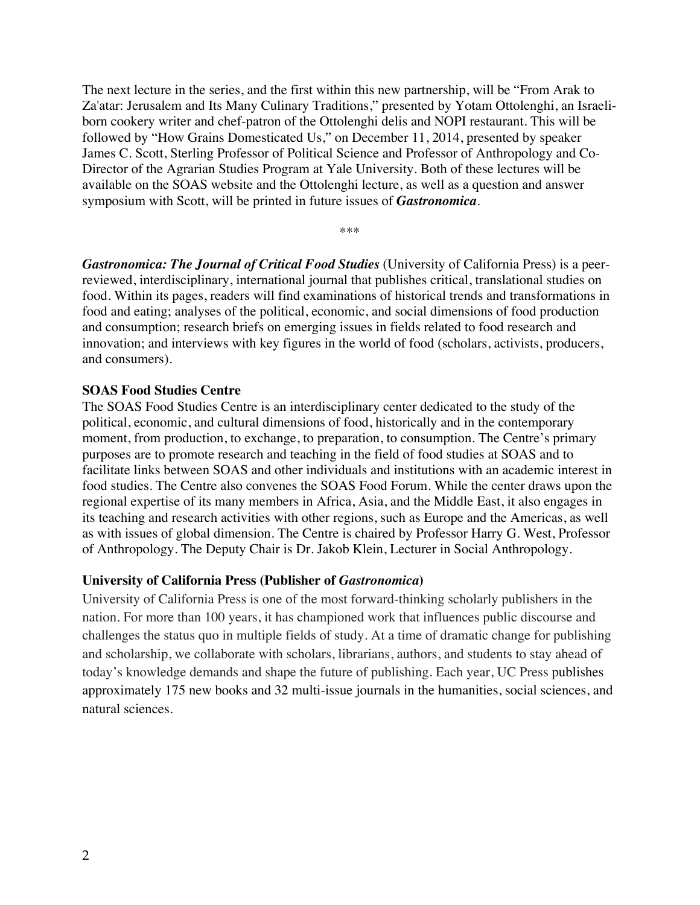The next lecture in the series, and the first within this new partnership, will be "From Arak to Za'atar: Jerusalem and Its Many Culinary Traditions," presented by Yotam Ottolenghi, an Israeliborn cookery writer and chef-patron of the Ottolenghi delis and NOPI restaurant. This will be followed by "How Grains Domesticated Us," on December 11, 2014, presented by speaker James C. Scott, Sterling Professor of Political Science and Professor of Anthropology and Co-Director of the Agrarian Studies Program at Yale University. Both of these lectures will be available on the SOAS website and the Ottolenghi lecture, as well as a question and answer symposium with Scott, will be printed in future issues of *Gastronomica*.

\*\*\*

*Gastronomica: The Journal of Critical Food Studies* (University of California Press) is a peerreviewed, interdisciplinary, international journal that publishes critical, translational studies on food. Within its pages, readers will find examinations of historical trends and transformations in food and eating; analyses of the political, economic, and social dimensions of food production and consumption; research briefs on emerging issues in fields related to food research and innovation; and interviews with key figures in the world of food (scholars, activists, producers, and consumers).

#### **SOAS Food Studies Centre**

The SOAS Food Studies Centre is an interdisciplinary center dedicated to the study of the political, economic, and cultural dimensions of food, historically and in the contemporary moment, from production, to exchange, to preparation, to consumption. The Centre's primary purposes are to promote research and teaching in the field of food studies at SOAS and to facilitate links between SOAS and other individuals and institutions with an academic interest in food studies. The Centre also convenes the SOAS Food Forum. While the center draws upon the regional expertise of its many members in Africa, Asia, and the Middle East, it also engages in its teaching and research activities with other regions, such as Europe and the Americas, as well as with issues of global dimension. The Centre is chaired by Professor Harry G. West, Professor of Anthropology. The Deputy Chair is Dr. Jakob Klein, Lecturer in Social Anthropology.

### **University of California Press (Publisher of** *Gastronomica***)**

University of California Press is one of the most forward-thinking scholarly publishers in the nation. For more than 100 years, it has championed work that influences public discourse and challenges the status quo in multiple fields of study. At a time of dramatic change for publishing and scholarship, we collaborate with scholars, librarians, authors, and students to stay ahead of today's knowledge demands and shape the future of publishing. Each year, UC Press publishes approximately 175 new books and 32 multi-issue journals in the humanities, social sciences, and natural sciences.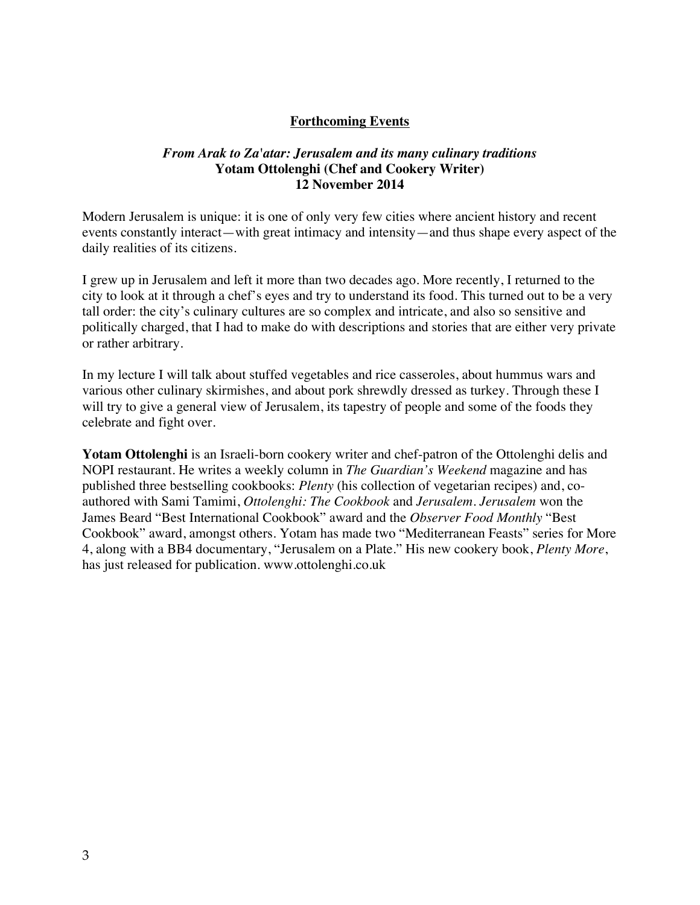# **Forthcoming Events**

# *From Arak to Za'atar: Jerusalem and its many culinary traditions* **Yotam Ottolenghi (Chef and Cookery Writer) 12 November 2014**

Modern Jerusalem is unique: it is one of only very few cities where ancient history and recent events constantly interact—with great intimacy and intensity—and thus shape every aspect of the daily realities of its citizens.

I grew up in Jerusalem and left it more than two decades ago. More recently, I returned to the city to look at it through a chef's eyes and try to understand its food. This turned out to be a very tall order: the city's culinary cultures are so complex and intricate, and also so sensitive and politically charged, that I had to make do with descriptions and stories that are either very private or rather arbitrary.

In my lecture I will talk about stuffed vegetables and rice casseroles, about hummus wars and various other culinary skirmishes, and about pork shrewdly dressed as turkey. Through these I will try to give a general view of Jerusalem, its tapestry of people and some of the foods they celebrate and fight over.

**Yotam Ottolenghi** is an Israeli-born cookery writer and chef-patron of the Ottolenghi delis and NOPI restaurant. He writes a weekly column in *The Guardian's Weekend* magazine and has published three bestselling cookbooks: *Plenty* (his collection of vegetarian recipes) and, coauthored with Sami Tamimi, *Ottolenghi: The Cookbook* and *Jerusalem*. *Jerusalem* won the James Beard "Best International Cookbook" award and the *Observer Food Monthly* "Best Cookbook" award, amongst others. Yotam has made two "Mediterranean Feasts" series for More 4, along with a BB4 documentary, "Jerusalem on a Plate." His new cookery book, *Plenty More*, has just released for publication. www.ottolenghi.co.uk